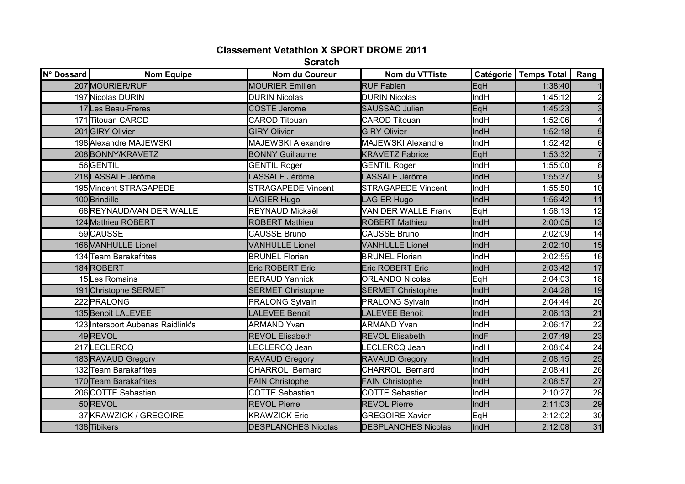## **Classement Vetathlon X SPORT DROME 2011**

**Scratch**

| N° Dossard | <b>Nom Equipe</b>                 | Nom du Coureur             | Nom du VTTiste             |             | Catégorie   Temps Total | Rang             |
|------------|-----------------------------------|----------------------------|----------------------------|-------------|-------------------------|------------------|
|            | 207MOURIER/RUF                    | <b>MOURIER Emilien</b>     | <b>RUF Fabien</b>          | EqH         | 1:38:40                 |                  |
|            | 197 Nicolas DURIN                 | <b>DURIN Nicolas</b>       | <b>DURIN Nicolas</b>       | <b>IndH</b> | 1:45:12                 | $\overline{c}$   |
|            | 17 Les Beau-Freres                | <b>COSTE Jerome</b>        | <b>SAUSSAC Julien</b>      | EqH         | 1:45:23                 | $\overline{3}$   |
|            | 171 Titouan CAROD                 | <b>CAROD Titouan</b>       | <b>CAROD Titouan</b>       | <b>IndH</b> | 1:52:06                 |                  |
|            | 201GIRY Olivier                   | <b>GIRY Olivier</b>        | <b>GIRY Olivier</b>        | IndH        | 1:52:18                 | $5\overline{)}$  |
|            | 198 Alexandre MAJEWSKI            | <b>MAJEWSKI Alexandre</b>  | <b>MAJEWSKI Alexandre</b>  | IndH        | 1:52:42                 | $6 \overline{6}$ |
|            | 208BONNY/KRAVETZ                  | <b>BONNY Guillaume</b>     | <b>KRAVETZ Fabrice</b>     | EqH         | 1:53:32                 | $\overline{7}$   |
|            | 56GENTIL                          | <b>GENTIL Roger</b>        | <b>GENTIL Roger</b>        | IndH        | 1:55:00                 | 8                |
|            | 218LASSALE Jérôme                 | LASSALE Jérôme             | LASSALE Jérôme             | IndH        | 1:55:37                 | $\overline{9}$   |
|            | 195 Vincent STRAGAPEDE            | <b>STRAGAPEDE Vincent</b>  | <b>STRAGAPEDE Vincent</b>  | <b>IndH</b> | 1:55:50                 | 10               |
|            | 100 <b>Brindille</b>              | <b>LAGIER Hugo</b>         | LAGIER Hugo                | IndH        | 1:56:42                 | 11               |
|            | 68REYNAUD/VAN DER WALLE           | REYNAUD Mickaël            | VAN DER WALLE Frank        | EqH         | 1:58:13                 | 12               |
|            | 124 Mathieu ROBERT                | <b>ROBERT Mathieu</b>      | <b>ROBERT Mathieu</b>      | IndH        | 2:00:05                 | 13               |
|            | 59CAUSSE                          | <b>CAUSSE Bruno</b>        | <b>CAUSSE Bruno</b>        | <b>IndH</b> | 2:02:09                 | 14               |
|            | 166 VANHULLE Lionel               | <b>VANHULLE Lionel</b>     | <b>VANHULLE Lionel</b>     | IndH        | 2:02:10                 | 15               |
|            | 134 Team Barakafrites             | <b>BRUNEL Florian</b>      | <b>BRUNEL Florian</b>      | <b>IndH</b> | 2:02:55                 | 16               |
|            | 184ROBERT                         | <b>Eric ROBERT Eric</b>    | <b>Eric ROBERT Eric</b>    | IndH        | 2:03:42                 | 17               |
|            | 15Les Romains                     | <b>BERAUD Yannick</b>      | <b>ORLANDO Nicolas</b>     | EqH         | 2:04:03                 | 18               |
|            | 191 Christophe SERMET             | <b>SERMET Christophe</b>   | <b>SERMET Christophe</b>   | IndH        | 2:04:28                 | 19               |
|            | 222 PRALONG                       | <b>PRALONG Sylvain</b>     | <b>PRALONG Sylvain</b>     | <b>IndH</b> | 2:04:44                 | 20               |
|            | 135 Benoit LALEVEE                | <b>LALEVEE Benoit</b>      | <b>LALEVEE Benoit</b>      | IndH        | 2:06:13                 | $\overline{21}$  |
|            | 123 Intersport Aubenas Raidlink's | <b>ARMAND Yvan</b>         | <b>ARMAND Yvan</b>         | <b>IndH</b> | 2:06:17                 | 22               |
|            | 49REVOL                           | <b>REVOL Elisabeth</b>     | <b>REVOL Elisabeth</b>     | IndF        | 2:07:49                 | 23               |
|            | 217LECLERCQ                       | <b>ECLERCQ Jean</b>        | <b>ECLERCQ Jean</b>        | <b>IndH</b> | 2:08:04                 | 24               |
|            | 183 RAVAUD Gregory                | <b>RAVAUD Gregory</b>      | <b>RAVAUD Gregory</b>      | IndH        | 2:08:15                 | 25               |
|            | 132 Team Barakafrites             | <b>CHARROL Bernard</b>     | <b>CHARROL Bernard</b>     | <b>IndH</b> | 2:08:41                 | 26               |
|            | 170 Team Barakafrites             | <b>FAIN Christophe</b>     | <b>FAIN Christophe</b>     | IndH        | 2:08:57                 | $\overline{27}$  |
|            | 206 COTTE Sebastien               | <b>COTTE Sebastien</b>     | <b>COTTE Sebastien</b>     | <b>IndH</b> | 2:10:27                 | 28               |
|            | 50REVOL                           | <b>REVOL Pierre</b>        | <b>REVOL Pierre</b>        | IndH        | 2:11:03                 | 29               |
|            | 37KRAWZICK / GREGOIRE             | <b>KRAWZICK Eric</b>       | <b>GREGOIRE Xavier</b>     | EqH         | 2:12:02                 | 30               |
|            | 138 Tibikers                      | <b>DESPLANCHES Nicolas</b> | <b>DESPLANCHES Nicolas</b> | <b>IndH</b> | 2:12:08                 | 31               |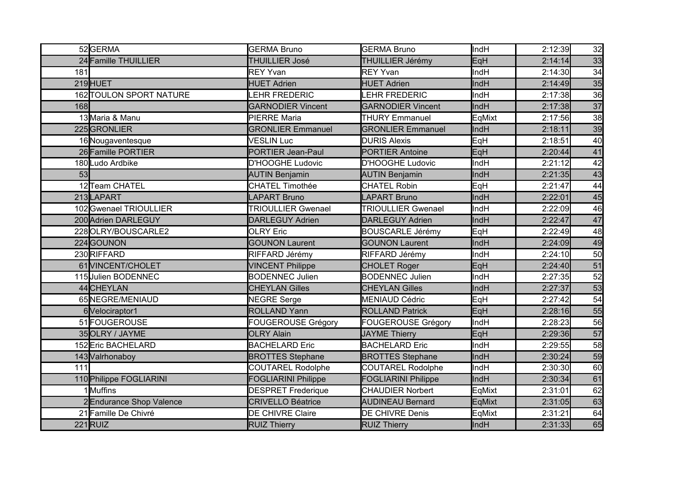|            | 52GERMA                 | <b>GERMA Bruno</b>         | <b>GERMA Bruno</b>         | <b>IndH</b> | 2:12:39 | 32 |
|------------|-------------------------|----------------------------|----------------------------|-------------|---------|----|
|            | 24 Famille THUILLIER    | <b>THUILLIER José</b>      | THUILLIER Jérémy           | EqH         | 2:14:14 | 33 |
| 181        |                         | <b>REY Yvan</b>            | <b>REY Yvan</b>            | <b>IndH</b> | 2:14:30 | 34 |
|            | 219HUET                 | <b>HUET Adrien</b>         | <b>HUET Adrien</b>         | IndH        | 2:14:49 | 35 |
|            | 162 TOULON SPORT NATURE | <b>EHR FREDERIC</b>        | <b>EHR FREDERIC</b>        | <b>IndH</b> | 2:17:38 | 36 |
| <b>168</b> |                         | <b>GARNODIER Vincent</b>   | <b>GARNODIER Vincent</b>   | IndH        | 2:17:38 | 37 |
|            | 13 Maria & Manu         | <b>PIERRE Maria</b>        | <b>THURY Emmanuel</b>      | EqMixt      | 2:17:56 | 38 |
|            | 225GRONLIER             | <b>GRONLIER Emmanuel</b>   | <b>GRONLIER Emmanuel</b>   | IndH        | 2:18:11 | 39 |
|            | 16 Nougaventesque       | <b>VESLIN Luc</b>          | <b>DURIS Alexis</b>        | EqH         | 2:18:51 | 40 |
|            | 26 Famille PORTIER      | <b>PORTIER Jean-Paul</b>   | <b>PORTIER Antoine</b>     | EqH         | 2:20:44 | 41 |
|            | 180Ludo Ardbike         | D'HOOGHE Ludovic           | D'HOOGHE Ludovic           | IndH        | 2:21:12 | 42 |
| 53         |                         | <b>AUTIN Benjamin</b>      | <b>AUTIN Benjamin</b>      | IndH        | 2:21:35 | 43 |
|            | 12Team CHATEL           | <b>CHATEL Timothée</b>     | <b>CHATEL Robin</b>        | EqH         | 2:21:47 | 44 |
|            | 213LAPART               | <b>LAPART Bruno</b>        | <b>LAPART Bruno</b>        | IndH        | 2:22:01 | 45 |
|            | 102 Gwenael TRIOULLIER  | <b>TRIOULLIER Gwenael</b>  | <b>TRIOULLIER Gwenael</b>  | <b>IndH</b> | 2:22:09 | 46 |
|            | 200 Adrien DARLEGUY     | <b>DARLEGUY Adrien</b>     | <b>DARLEGUY Adrien</b>     | IndH        | 2:22:47 | 47 |
|            | 228OLRY/BOUSCARLE2      | <b>OLRY Eric</b>           | <b>BOUSCARLE Jérémy</b>    | EqH         | 2:22:49 | 48 |
|            | 224GOUNON               | <b>GOUNON Laurent</b>      | <b>GOUNON Laurent</b>      | IndH        | 2:24:09 | 49 |
|            | 230RIFFARD              | RIFFARD Jérémy             | RIFFARD Jérémy             | <b>IndH</b> | 2:24:10 | 50 |
|            | 61 VINCENT/CHOLET       | <b>VINCENT Philippe</b>    | <b>CHOLET Roger</b>        | EqH         | 2:24:40 | 51 |
|            | 115 Julien BODENNEC     | <b>BODENNEC Julien</b>     | <b>BODENNEC Julien</b>     | IndH        | 2:27:35 | 52 |
|            | 44 CHEYLAN              | <b>CHEYLAN Gilles</b>      | <b>CHEYLAN Gilles</b>      | IndH        | 2:27:37 | 53 |
|            | 65NEGRE/MENIAUD         | <b>NEGRE Serge</b>         | <b>MENIAUD Cédric</b>      | EqH         | 2:27:42 | 54 |
|            | 6 Velociraptor1         | <b>ROLLAND Yann</b>        | <b>ROLLAND Patrick</b>     | EqH         | 2:28:16 | 55 |
|            | 51 FOUGEROUSE           | <b>FOUGEROUSE Grégory</b>  | FOUGEROUSE Grégory         | <b>IndH</b> | 2:28:23 | 56 |
|            | 35 OLRY / JAYME         | <b>OLRY Alain</b>          | <b>JAYME Thierry</b>       | EqH         | 2:29:36 | 57 |
|            | 152 Eric BACHELARD      | <b>BACHELARD Eric</b>      | <b>BACHELARD Eric</b>      | <b>IndH</b> | 2:29:55 | 58 |
|            | 143 Valrhonaboy         | <b>BROTTES Stephane</b>    | <b>BROTTES Stephane</b>    | IndH        | 2:30:24 | 59 |
| 111        |                         | <b>COUTAREL Rodolphe</b>   | <b>COUTAREL Rodolphe</b>   | <b>IndH</b> | 2:30:30 | 60 |
|            | 110 Philippe FOGLIARINI | <b>FOGLIARINI Philippe</b> | <b>FOGLIARINI Philippe</b> | IndH        | 2:30:34 | 61 |
|            | 1Muffins                | <b>DESPRET Frederique</b>  | <b>CHAUDIER Norbert</b>    | EqMixt      | 2:31:01 | 62 |
|            | 2Endurance Shop Valence | <b>CRIVELLO Béatrice</b>   | <b>AUDINEAU Bernard</b>    | EqMixt      | 2:31:05 | 63 |
|            | 21 Famille De Chivré    | DE CHIVRE Claire           | DE CHIVRE Denis            | EqMixt      | 2:31:21 | 64 |
|            | $221$ RUIZ              | <b>RUIZ Thierry</b>        | <b>RUIZ Thierry</b>        | <b>IndH</b> | 2:31:33 | 65 |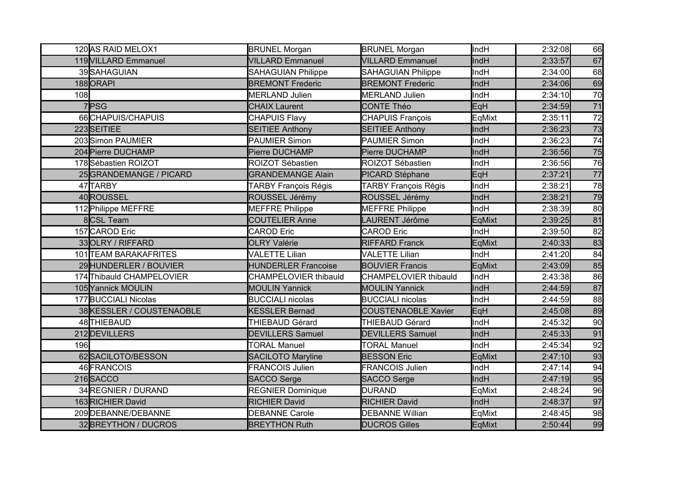|          | 120 AS RAID MELOX1        | <b>BRUNEL Morgan</b>         | <b>BRUNEL Morgan</b>         | lindH       | 2:32:08 | 66 |
|----------|---------------------------|------------------------------|------------------------------|-------------|---------|----|
|          | 119 VILLARD Emmanuel      | <b>VILLARD Emmanuel</b>      | <b>VILLARD Emmanuel</b>      | IndH        | 2:33:57 | 67 |
|          | 39SAHAGUIAN               | <b>SAHAGUIAN Philippe</b>    | <b>SAHAGUIAN Philippe</b>    | <b>IndH</b> | 2:34:00 | 68 |
| 188ORAPI |                           | <b>BREMONT Frederic</b>      | <b>BREMONT Frederic</b>      | IndH        | 2:34:06 | 69 |
| 108      |                           | <b>MERLAND Julien</b>        | <b>MERLAND Julien</b>        | <b>IndH</b> | 2:34:10 | 70 |
| 7PSG     |                           | <b>CHAIX Laurent</b>         | CONTE Théo                   | EqH         | 2:34:59 | 71 |
|          | 66 CHAPUIS/CHAPUIS        | <b>CHAPUIS Flavy</b>         | <b>CHAPUIS François</b>      | EqMixt      | 2:35:11 | 72 |
|          | 223SEITIEE                | <b>SEITIEE Anthony</b>       | <b>SEITIEE Anthony</b>       | IndH        | 2:36:23 | 73 |
|          | 203 Simon PAUMIER         | <b>PAUMIER Simon</b>         | <b>PAUMIER Simon</b>         | <b>IndH</b> | 2:36:23 | 74 |
|          | 204 Pierre DUCHAMP        | Pierre DUCHAMP               | Pierre DUCHAMP               | IndH        | 2:36:56 | 75 |
|          | 178Sébastien ROIZOT       | ROIZOT Sébastien             | ROIZOT Sébastien             | IndH        | 2:36:56 | 76 |
|          | 25 GRANDEMANGE / PICARD   | <b>GRANDEMANGE Alain</b>     | PICARD Stéphane              | EqH         | 2:37:21 | 77 |
|          | 47TARBY                   | <b>TARBY François Régis</b>  | <b>TARBY François Régis</b>  | <b>IndH</b> | 2:38:21 | 78 |
|          | 40ROUSSEL                 | ROUSSEL Jérémy               | ROUSSEL Jérémy               | IndH        | 2:38:21 | 79 |
|          | 112 Philippe MEFFRE       | <b>MEFFRE Philippe</b>       | <b>MEFFRE Philippe</b>       | <b>IndH</b> | 2:38:39 | 80 |
|          | 8CSL Team                 | <b>COUTELIER Anne</b>        | <b>AURENT Jérôme</b>         | EqMixt      | 2:39:25 | 81 |
|          | 157 CAROD Eric            | <b>CAROD Eric</b>            | <b>CAROD Eric</b>            | <b>IndH</b> | 2:39:50 | 82 |
|          | 33OLRY / RIFFARD          | <b>OLRY Valérie</b>          | <b>RIFFARD Franck</b>        | EqMixt      | 2:40:33 | 83 |
|          | 101 TEAM BARAKAFRITES     | <b>VALETTE Lilian</b>        | <b>VALETTE Lilian</b>        | <b>IndH</b> | 2:41:20 | 84 |
|          | 29 HUNDERLER / BOUVIER    | <b>HUNDERLER Francoise</b>   | <b>BOUVIER Francis</b>       | EqMixt      | 2:43:09 | 85 |
|          | 174 Thibauld CHAMPELOVIER | <b>CHAMPELOVIER thibauld</b> | <b>CHAMPELOVIER thibauld</b> | llndH       | 2:43:38 | 86 |
|          | 105 Yannick MOULIN        | <b>MOULIN Yannick</b>        | <b>MOULIN Yannick</b>        | IndH        | 2:44:59 | 87 |
|          | 177BUCCIALI Nicolas       | <b>BUCCIALI nicolas</b>      | <b>BUCCIALI</b> nicolas      | <b>IndH</b> | 2:44:59 | 88 |
|          | 38KESSLER / COUSTENAOBLE  | <b>KESSLER Bernad</b>        | <b>COUSTENAOBLE Xavier</b>   | EqH         | 2:45:08 | 89 |
|          | 48THIEBAUD                | THIEBAUD Gérard              | THIEBAUD Gérard              | <b>IndH</b> | 2:45:32 | 90 |
|          | 212 DEVILLERS             | <b>DEVILLERS Samuel</b>      | <b>DEVILLERS Samuel</b>      | IndH        | 2:45:33 | 91 |
| 196      |                           | <b>TORAL Manuel</b>          | <b>TORAL Manuel</b>          | <b>IndH</b> | 2:45:34 | 92 |
|          | 62SACILOTO/BESSON         | <b>SACILOTO Maryline</b>     | <b>BESSON Eric</b>           | EqMixt      | 2:47:10 | 93 |
|          | 46 FRANCOIS               | <b>FRANCOIS Julien</b>       | <b>FRANCOIS Julien</b>       | <b>IndH</b> | 2:47:14 | 94 |
|          | 216SACCO                  | <b>SACCO Serge</b>           | <b>SACCO Serge</b>           | IndH        | 2:47:19 | 95 |
|          | 34 REGNIER / DURAND       | <b>REGNIER Dominique</b>     | <b>DURAND</b>                | EqMixt      | 2:48:24 | 96 |
|          | 163RICHIER David          | <b>RICHIER David</b>         | <b>RICHIER David</b>         | IndH        | 2:48:37 | 97 |
|          | 209 DEBANNE/DEBANNE       | <b>DEBANNE Carole</b>        | <b>DEBANNE Willian</b>       | EqMixt      | 2:48:45 | 98 |
|          | 32BREYTHON / DUCROS       | <b>BREYTHON Ruth</b>         | <b>DUCROS Gilles</b>         | EqMixt      | 2:50:44 | 99 |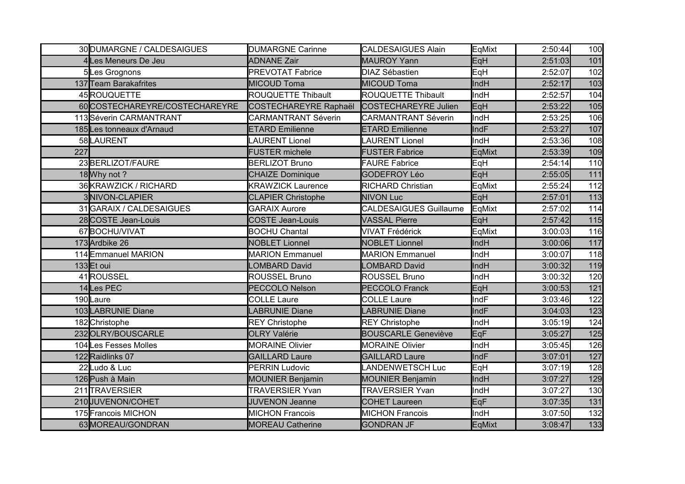|     | 30 DUMARGNE / CALDESAIGUES    | <b>DUMARGNE Carinne</b>      | <b>CALDESAIGUES Alain</b>     | EqMixt      | 2:50:44 | 100 |
|-----|-------------------------------|------------------------------|-------------------------------|-------------|---------|-----|
|     | 4Les Meneurs De Jeu           | <b>ADNANE Zair</b>           | <b>MAUROY Yann</b>            | EqH         | 2:51:03 | 101 |
|     | 5Les Grognons                 | <b>PREVOTAT Fabrice</b>      | <b>DIAZ Sébastien</b>         | EqH         | 2:52:07 | 102 |
|     | 137 Team Barakafrites         | <b>MICOUD Toma</b>           | <b>MICOUD Toma</b>            | IndH        | 2:52:17 | 103 |
|     | 45ROUQUETTE                   | ROUQUETTE Thibault           | ROUQUETTE Thibault            | <b>IndH</b> | 2:52:57 | 104 |
|     | 60COSTECHAREYRE/COSTECHAREYRE | <b>COSTECHAREYRE Raphaël</b> | <b>COSTECHAREYRE Julien</b>   | EqH         | 2:53:22 | 105 |
|     | 113Séverin CARMANTRANT        | <b>CARMANTRANT Séverin</b>   | <b>CARMANTRANT Séverin</b>    | <b>IndH</b> | 2:53:25 | 106 |
|     | 185Les tonneaux d'Arnaud      | <b>ETARD Emilienne</b>       | <b>ETARD Emilienne</b>        | IndF        | 2:53:27 | 107 |
|     | 58LAURENT                     | <b>LAURENT Lionel</b>        | <b>LAURENT Lionel</b>         | IndH        | 2:53:36 | 108 |
| 227 |                               | <b>FUSTER michele</b>        | <b>FUSTER Fabrice</b>         | EqMixt      | 2:53:39 | 109 |
|     | 23 BERLIZOT/FAURE             | <b>BERLIZOT Bruno</b>        | <b>FAURE Fabrice</b>          | EqH         | 2:54:14 | 110 |
|     | 18 Why not ?                  | <b>CHAIZE Dominique</b>      | <b>GODEFROY Léo</b>           | EqH         | 2:55:05 | 111 |
|     | 36KRAWZICK / RICHARD          | <b>KRAWZICK Laurence</b>     | <b>RICHARD Christian</b>      | EqMixt      | 2:55:24 | 112 |
|     | 3NIVON-CLAPIER                | <b>CLAPIER Christophe</b>    | <b>NIVON Luc</b>              | EqH         | 2:57:01 | 113 |
|     | 31 GARAIX / CALDESAIGUES      | <b>GARAIX Aurore</b>         | <b>CALDESAIGUES Guillaume</b> | EqMixt      | 2:57:02 | 114 |
|     | 28 COSTE Jean-Louis           | <b>COSTE Jean-Louis</b>      | <b>VASSAL Pierre</b>          | EqH         | 2:57:42 | 115 |
|     | 67BOCHU/VIVAT                 | <b>BOCHU Chantal</b>         | <b>VIVAT Frédérick</b>        | EqMixt      | 3:00:03 | 116 |
|     | 173 Ardbike 26                | <b>NOBLET Lionnel</b>        | <b>NOBLET Lionnel</b>         | IndH        | 3:00:06 | 117 |
|     | 114Emmanuel MARION            | <b>MARION Emmanuel</b>       | <b>MARION Emmanuel</b>        | IndH        | 3:00:07 | 118 |
|     | 133Et oui                     | <b>OMBARD David</b>          | <b>_OMBARD David</b>          | IndH        | 3:00:32 | 119 |
|     | 41ROUSSEL                     | ROUSSEL Bruno                | <b>ROUSSEL Bruno</b>          | IndH        | 3:00:32 | 120 |
|     | 14Les PEC                     | <b>PECCOLO Nelson</b>        | <b>PECCOLO Franck</b>         | EqH         | 3:00:53 | 121 |
|     | 190Laure                      | <b>COLLE Laure</b>           | <b>COLLE Laure</b>            | <b>IndF</b> | 3:03:46 | 122 |
|     | 103LABRUNIE Diane             | <b>LABRUNIE Diane</b>        | <b>LABRUNIE Diane</b>         | IndF        | 3:04:03 | 123 |
|     | 182 Christophe                | <b>REY Christophe</b>        | <b>REY Christophe</b>         | <b>IndH</b> | 3:05:19 | 124 |
|     | 232OLRY/BOUSCARLE             | <b>OLRY Valérie</b>          | <b>BOUSCARLE Geneviève</b>    | EqF         | 3:05:27 | 125 |
|     | 104 Les Fesses Molles         | <b>MORAINE Olivier</b>       | <b>MORAINE Olivier</b>        | IndH        | 3:05:45 | 126 |
|     | 122 Raidlinks 07              | <b>GAILLARD Laure</b>        | <b>GAILLARD Laure</b>         | IndF        | 3:07:01 | 127 |
|     | 22Ludo & Luc                  | <b>PERRIN Ludovic</b>        | LANDENWETSCH Luc              | EqH         | 3:07:19 | 128 |
|     | 126 Push à Main               | <b>MOUNIER Benjamin</b>      | <b>MOUNIER Benjamin</b>       | IndH        | 3:07:27 | 129 |
|     | 211 TRAVERSIER                | <b>TRAVERSIER Yvan</b>       | <b>TRAVERSIER Yvan</b>        | IndH        | 3:07:27 | 130 |
|     | 210JUVENON/COHET              | <b>JUVENON Jeanne</b>        | <b>COHET Laureen</b>          | EqF         | 3:07:35 | 131 |
|     | 175 Francois MICHON           | <b>MICHON Francois</b>       | <b>MICHON Francois</b>        | <b>IndH</b> | 3:07:50 | 132 |
|     | 63MOREAU/GONDRAN              | <b>MOREAU Catherine</b>      | <b>GONDRAN JF</b>             | EqMixt      | 3:08:47 | 133 |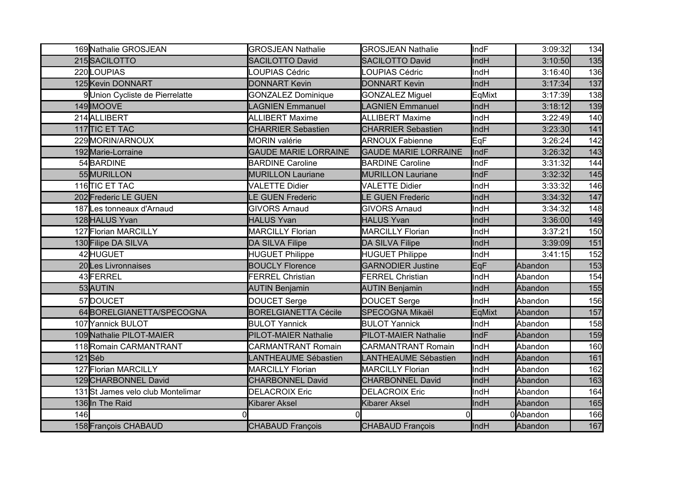|     | 169 Nathalie GROSJEAN             | <b>GROSJEAN Nathalie</b>    | <b>GROSJEAN Nathalie</b>    | IndF        | 3:09:32  | 134 |
|-----|-----------------------------------|-----------------------------|-----------------------------|-------------|----------|-----|
|     | 215SACILOTTO                      | <b>SACILOTTO David</b>      | <b>SACILOTTO David</b>      | IndH        | 3:10:50  | 135 |
|     | 220 LOUPIAS                       | LOUPIAS Cédric              | OUPIAS Cédric               | IndH        | 3:16:40  | 136 |
|     | 125 Kevin DONNART                 | <b>DONNART Kevin</b>        | <b>DONNART Kevin</b>        | IndH        | 3:17:34  | 137 |
|     | 9 Union Cycliste de Pierrelatte   | <b>GONZALEZ Dominique</b>   | <b>GONZALEZ Miguel</b>      | EqMixt      | 3:17:39  | 138 |
|     | 149 IMOOVE                        | <b>AGNIEN Emmanuel</b>      | LAGNIEN Emmanuel            | IndH        | 3:18:12  | 139 |
|     | 214 ALLIBERT                      | <b>ALLIBERT Maxime</b>      | <b>ALLIBERT Maxime</b>      | IndH        | 3:22:49  | 140 |
|     | 117 TIC ET TAC                    | <b>CHARRIER Sebastien</b>   | <b>CHARRIER Sebastien</b>   | IndH        | 3:23:30  | 141 |
|     | 229 MORIN/ARNOUX                  | <b>MORIN</b> valérie        | <b>ARNOUX Fabienne</b>      | <b>E</b> qF | 3:26:24  | 142 |
|     | 192 Marie-Lorraine                | <b>GAUDE MARIE LORRAINE</b> | <b>GAUDE MARIE LORRAINE</b> | IndF        | 3:26:32  | 143 |
|     | 54BARDINE                         | <b>BARDINE Caroline</b>     | <b>BARDINE Caroline</b>     | IndF        | 3:31:32  | 144 |
|     | 55 MURILLON                       | <b>MURILLON Lauriane</b>    | <b>MURILLON Lauriane</b>    | IndF        | 3:32:32  | 145 |
|     | 116 TIC ET TAC                    | <b>VALETTE Didier</b>       | <b>VALETTE Didier</b>       | IndH        | 3:33:32  | 146 |
|     | 202 Frederic LE GUEN              | LE GUEN Frederic            | <b>LE GUEN Frederic</b>     | IndH        | 3:34:32  | 147 |
|     | 187 Les tonneaux d'Arnaud         | <b>GIVORS Arnaud</b>        | <b>GIVORS Arnaud</b>        | IndH        | 3:34:32  | 148 |
|     | 128 HALUS Yvan                    | <b>HALUS Yvan</b>           | <b>HALUS Yvan</b>           | IndH        | 3:36:00  | 149 |
|     | 127 Florian MARCILLY              | <b>MARCILLY Florian</b>     | <b>MARCILLY Florian</b>     | IndH        | 3:37:21  | 150 |
|     | 130 Filipe DA SILVA               | <b>DA SILVA Filipe</b>      | <b>DA SILVA Filipe</b>      | IndH        | 3:39:09  | 151 |
|     | 42 HUGUET                         | <b>HUGUET Philippe</b>      | <b>HUGUET Philippe</b>      | IndH        | 3:41:15  | 152 |
|     | 20 Les Livronnaises               | <b>BOUCLY Florence</b>      | <b>GARNODIER Justine</b>    | EqF         | Abandon  | 153 |
|     | 43 FERREL                         | <b>FERREL Christian</b>     | <b>FERREL Christian</b>     | IndH        | Abandon  | 154 |
|     | 53 AUTIN                          | <b>AUTIN Benjamin</b>       | <b>AUTIN Benjamin</b>       | IndH        | Abandon  | 155 |
|     | 57DOUCET                          | DOUCET Serge                | <b>DOUCET Serge</b>         | IndH        | Abandon  | 156 |
|     | 64BORELGIANETTA/SPECOGNA          | <b>BORELGIANETTA Cécile</b> | <b>SPECOGNA Mikaël</b>      | EqMixt      | Abandon  | 157 |
|     | 107 Yannick BULOT                 | <b>BULOT Yannick</b>        | <b>BULOT Yannick</b>        | IndH        | Abandon  | 158 |
|     | 109 Nathalie PILOT-MAIER          | PILOT-MAIER Nathalie        | PILOT-MAIER Nathalie        | IndF        | Abandon  | 159 |
|     | 118Romain CARMANTRANT             | <b>CARMANTRANT Romain</b>   | <b>CARMANTRANT Romain</b>   | IndH        | Abandon  | 160 |
|     | $121$ Séb                         | LANTHEAUME Sébastien        | LANTHEAUME Sébastien        | IndH        | Abandon  | 161 |
|     | 127 Florian MARCILLY              | <b>MARCILLY Florian</b>     | <b>MARCILLY Florian</b>     | IndH        | Abandon  | 162 |
|     | 129 CHARBONNEL David              | <b>CHARBONNEL David</b>     | <b>CHARBONNEL David</b>     | IndH        | Abandon  | 163 |
|     | 131 St James velo club Montelimar | <b>DELACROIX Eric</b>       | <b>DELACROIX Eric</b>       | IndH        | Abandon  | 164 |
|     | 136 In The Raid                   | <b>Kibarer Aksel</b>        | <b>Kibarer Aksel</b>        | IndH        | Abandon  | 165 |
| 146 |                                   |                             | $\Omega$                    |             | 0Abandon | 166 |
|     | 158 François CHABAUD              | <b>CHABAUD Francois</b>     | <b>CHABAUD François</b>     | <b>IndH</b> | Abandon  | 167 |